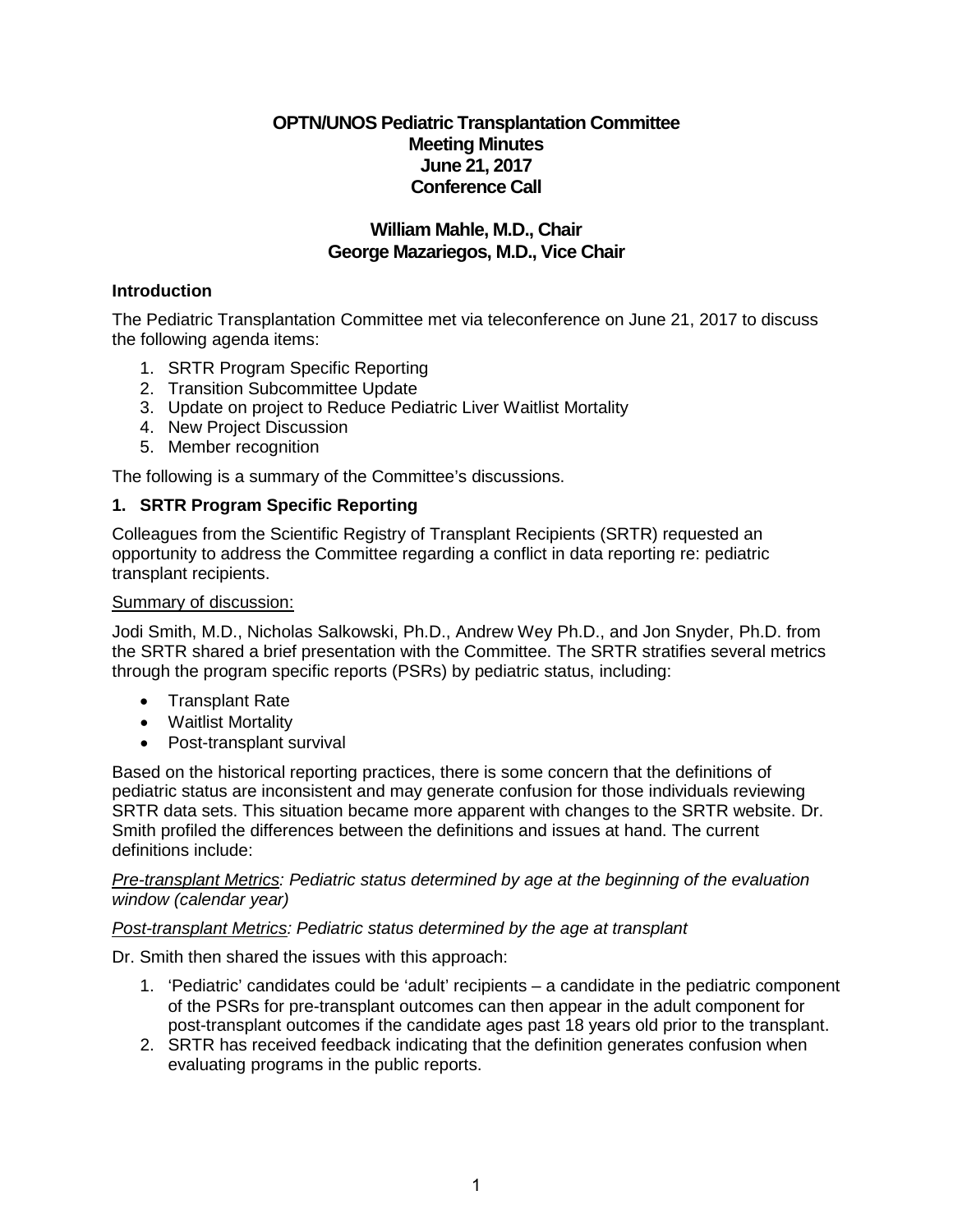# **OPTN/UNOS Pediatric Transplantation Committee Meeting Minutes June 21, 2017 Conference Call**

# **William Mahle, M.D., Chair George Mazariegos, M.D., Vice Chair**

# **Introduction**

The Pediatric Transplantation Committee met via teleconference on June 21, 2017 to discuss the following agenda items:

- 1. SRTR Program Specific Reporting
- 2. Transition Subcommittee Update
- 3. Update on project to Reduce Pediatric Liver Waitlist Mortality
- 4. New Project Discussion
- 5. Member recognition

The following is a summary of the Committee's discussions.

# **1. SRTR Program Specific Reporting**

Colleagues from the Scientific Registry of Transplant Recipients (SRTR) requested an opportunity to address the Committee regarding a conflict in data reporting re: pediatric transplant recipients.

### Summary of discussion:

Jodi Smith, M.D., Nicholas Salkowski, Ph.D., Andrew Wey Ph.D., and Jon Snyder, Ph.D. from the SRTR shared a brief presentation with the Committee. The SRTR stratifies several metrics through the program specific reports (PSRs) by pediatric status, including:

- Transplant Rate
- Waitlist Mortality
- Post-transplant survival

Based on the historical reporting practices, there is some concern that the definitions of pediatric status are inconsistent and may generate confusion for those individuals reviewing SRTR data sets. This situation became more apparent with changes to the SRTR website. Dr. Smith profiled the differences between the definitions and issues at hand. The current definitions include:

*Pre-transplant Metrics: Pediatric status determined by age at the beginning of the evaluation window (calendar year)*

## *Post-transplant Metrics: Pediatric status determined by the age at transplant*

Dr. Smith then shared the issues with this approach:

- 1. 'Pediatric' candidates could be 'adult' recipients a candidate in the pediatric component of the PSRs for pre-transplant outcomes can then appear in the adult component for post-transplant outcomes if the candidate ages past 18 years old prior to the transplant.
- 2. SRTR has received feedback indicating that the definition generates confusion when evaluating programs in the public reports.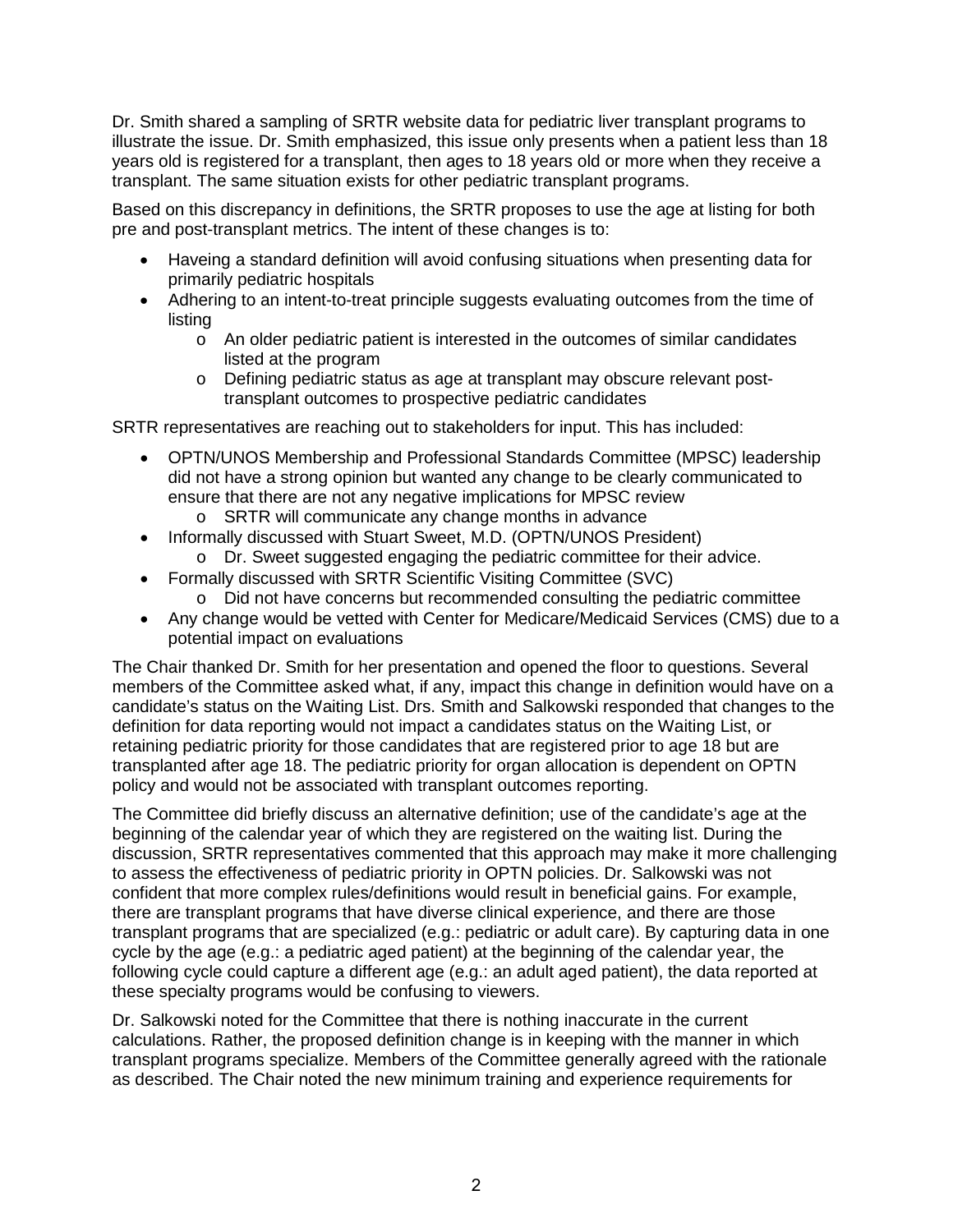Dr. Smith shared a sampling of SRTR website data for pediatric liver transplant programs to illustrate the issue. Dr. Smith emphasized, this issue only presents when a patient less than 18 years old is registered for a transplant, then ages to 18 years old or more when they receive a transplant. The same situation exists for other pediatric transplant programs.

Based on this discrepancy in definitions, the SRTR proposes to use the age at listing for both pre and post-transplant metrics. The intent of these changes is to:

- Haveing a standard definition will avoid confusing situations when presenting data for primarily pediatric hospitals
- Adhering to an intent-to-treat principle suggests evaluating outcomes from the time of listing
	- o An older pediatric patient is interested in the outcomes of similar candidates listed at the program
	- o Defining pediatric status as age at transplant may obscure relevant posttransplant outcomes to prospective pediatric candidates

SRTR representatives are reaching out to stakeholders for input. This has included:

- OPTN/UNOS Membership and Professional Standards Committee (MPSC) leadership did not have a strong opinion but wanted any change to be clearly communicated to ensure that there are not any negative implications for MPSC review
	- o SRTR will communicate any change months in advance
- Informally discussed with Stuart Sweet, M.D. (OPTN/UNOS President)
	- o Dr. Sweet suggested engaging the pediatric committee for their advice.
- Formally discussed with SRTR Scientific Visiting Committee (SVC)
	- o Did not have concerns but recommended consulting the pediatric committee
- Any change would be vetted with Center for Medicare/Medicaid Services (CMS) due to a potential impact on evaluations

The Chair thanked Dr. Smith for her presentation and opened the floor to questions. Several members of the Committee asked what, if any, impact this change in definition would have on a candidate's status on the Waiting List. Drs. Smith and Salkowski responded that changes to the definition for data reporting would not impact a candidates status on the Waiting List, or retaining pediatric priority for those candidates that are registered prior to age 18 but are transplanted after age 18. The pediatric priority for organ allocation is dependent on OPTN policy and would not be associated with transplant outcomes reporting.

The Committee did briefly discuss an alternative definition; use of the candidate's age at the beginning of the calendar year of which they are registered on the waiting list. During the discussion, SRTR representatives commented that this approach may make it more challenging to assess the effectiveness of pediatric priority in OPTN policies. Dr. Salkowski was not confident that more complex rules/definitions would result in beneficial gains. For example, there are transplant programs that have diverse clinical experience, and there are those transplant programs that are specialized (e.g.: pediatric or adult care). By capturing data in one cycle by the age (e.g.: a pediatric aged patient) at the beginning of the calendar year, the following cycle could capture a different age (e.g.: an adult aged patient), the data reported at these specialty programs would be confusing to viewers.

Dr. Salkowski noted for the Committee that there is nothing inaccurate in the current calculations. Rather, the proposed definition change is in keeping with the manner in which transplant programs specialize. Members of the Committee generally agreed with the rationale as described. The Chair noted the new minimum training and experience requirements for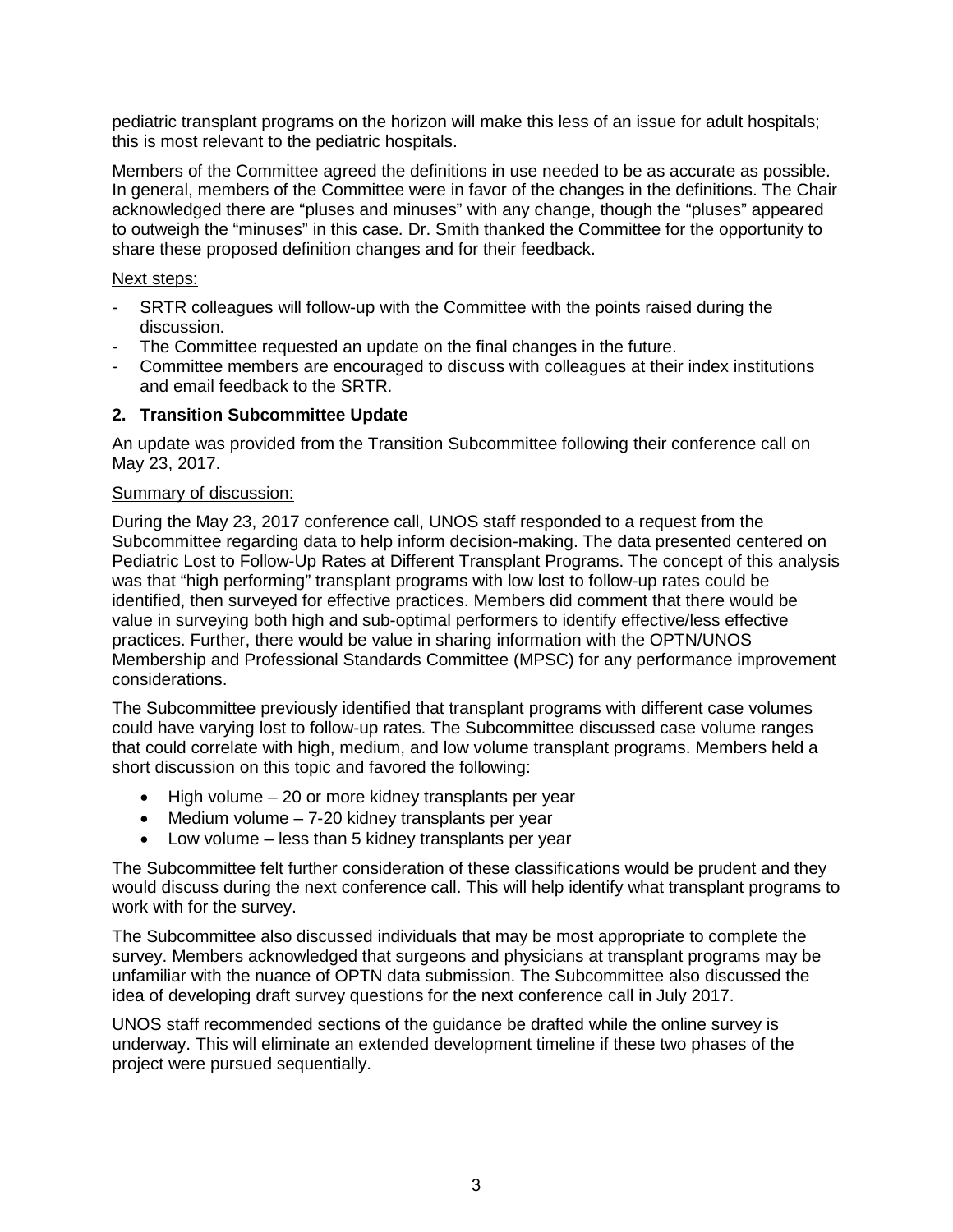pediatric transplant programs on the horizon will make this less of an issue for adult hospitals; this is most relevant to the pediatric hospitals.

Members of the Committee agreed the definitions in use needed to be as accurate as possible. In general, members of the Committee were in favor of the changes in the definitions. The Chair acknowledged there are "pluses and minuses" with any change, though the "pluses" appeared to outweigh the "minuses" in this case. Dr. Smith thanked the Committee for the opportunity to share these proposed definition changes and for their feedback.

### Next steps:

- SRTR colleagues will follow-up with the Committee with the points raised during the discussion.
- The Committee requested an update on the final changes in the future.
- Committee members are encouraged to discuss with colleagues at their index institutions and email feedback to the SRTR.

### **2. Transition Subcommittee Update**

An update was provided from the Transition Subcommittee following their conference call on May 23, 2017.

### Summary of discussion:

During the May 23, 2017 conference call, UNOS staff responded to a request from the Subcommittee regarding data to help inform decision-making. The data presented centered on Pediatric Lost to Follow-Up Rates at Different Transplant Programs. The concept of this analysis was that "high performing" transplant programs with low lost to follow-up rates could be identified, then surveyed for effective practices. Members did comment that there would be value in surveying both high and sub-optimal performers to identify effective/less effective practices. Further, there would be value in sharing information with the OPTN/UNOS Membership and Professional Standards Committee (MPSC) for any performance improvement considerations.

The Subcommittee previously identified that transplant programs with different case volumes could have varying lost to follow-up rates. The Subcommittee discussed case volume ranges that could correlate with high, medium, and low volume transplant programs. Members held a short discussion on this topic and favored the following:

- High volume 20 or more kidney transplants per year
- Medium volume 7-20 kidney transplants per year
- Low volume less than 5 kidney transplants per year

The Subcommittee felt further consideration of these classifications would be prudent and they would discuss during the next conference call. This will help identify what transplant programs to work with for the survey.

The Subcommittee also discussed individuals that may be most appropriate to complete the survey. Members acknowledged that surgeons and physicians at transplant programs may be unfamiliar with the nuance of OPTN data submission. The Subcommittee also discussed the idea of developing draft survey questions for the next conference call in July 2017.

UNOS staff recommended sections of the guidance be drafted while the online survey is underway. This will eliminate an extended development timeline if these two phases of the project were pursued sequentially.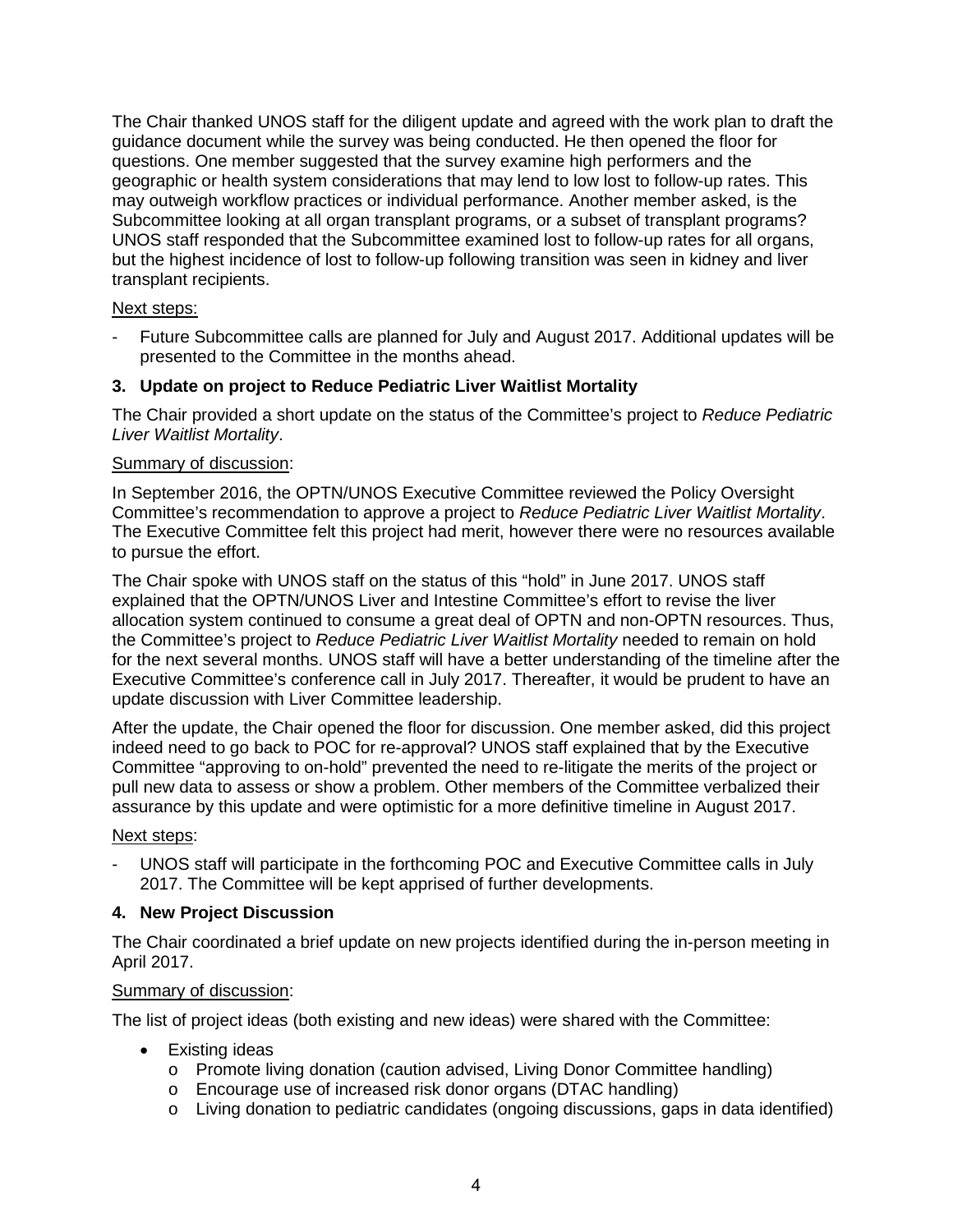The Chair thanked UNOS staff for the diligent update and agreed with the work plan to draft the guidance document while the survey was being conducted. He then opened the floor for questions. One member suggested that the survey examine high performers and the geographic or health system considerations that may lend to low lost to follow-up rates. This may outweigh workflow practices or individual performance. Another member asked, is the Subcommittee looking at all organ transplant programs, or a subset of transplant programs? UNOS staff responded that the Subcommittee examined lost to follow-up rates for all organs, but the highest incidence of lost to follow-up following transition was seen in kidney and liver transplant recipients.

### Next steps:

- Future Subcommittee calls are planned for July and August 2017. Additional updates will be presented to the Committee in the months ahead.

## **3. Update on project to Reduce Pediatric Liver Waitlist Mortality**

The Chair provided a short update on the status of the Committee's project to *Reduce Pediatric Liver Waitlist Mortality*.

### Summary of discussion:

In September 2016, the OPTN/UNOS Executive Committee reviewed the Policy Oversight Committee's recommendation to approve a project to *Reduce Pediatric Liver Waitlist Mortality*. The Executive Committee felt this project had merit, however there were no resources available to pursue the effort.

The Chair spoke with UNOS staff on the status of this "hold" in June 2017. UNOS staff explained that the OPTN/UNOS Liver and Intestine Committee's effort to revise the liver allocation system continued to consume a great deal of OPTN and non-OPTN resources. Thus, the Committee's project to *Reduce Pediatric Liver Waitlist Mortality* needed to remain on hold for the next several months. UNOS staff will have a better understanding of the timeline after the Executive Committee's conference call in July 2017. Thereafter, it would be prudent to have an update discussion with Liver Committee leadership.

After the update, the Chair opened the floor for discussion. One member asked, did this project indeed need to go back to POC for re-approval? UNOS staff explained that by the Executive Committee "approving to on-hold" prevented the need to re-litigate the merits of the project or pull new data to assess or show a problem. Other members of the Committee verbalized their assurance by this update and were optimistic for a more definitive timeline in August 2017.

#### Next steps:

- UNOS staff will participate in the forthcoming POC and Executive Committee calls in July 2017. The Committee will be kept apprised of further developments.

## **4. New Project Discussion**

The Chair coordinated a brief update on new projects identified during the in-person meeting in April 2017.

#### Summary of discussion:

The list of project ideas (both existing and new ideas) were shared with the Committee:

- Existing ideas
	- o Promote living donation (caution advised, Living Donor Committee handling)
	- o Encourage use of increased risk donor organs (DTAC handling)
	- o Living donation to pediatric candidates (ongoing discussions, gaps in data identified)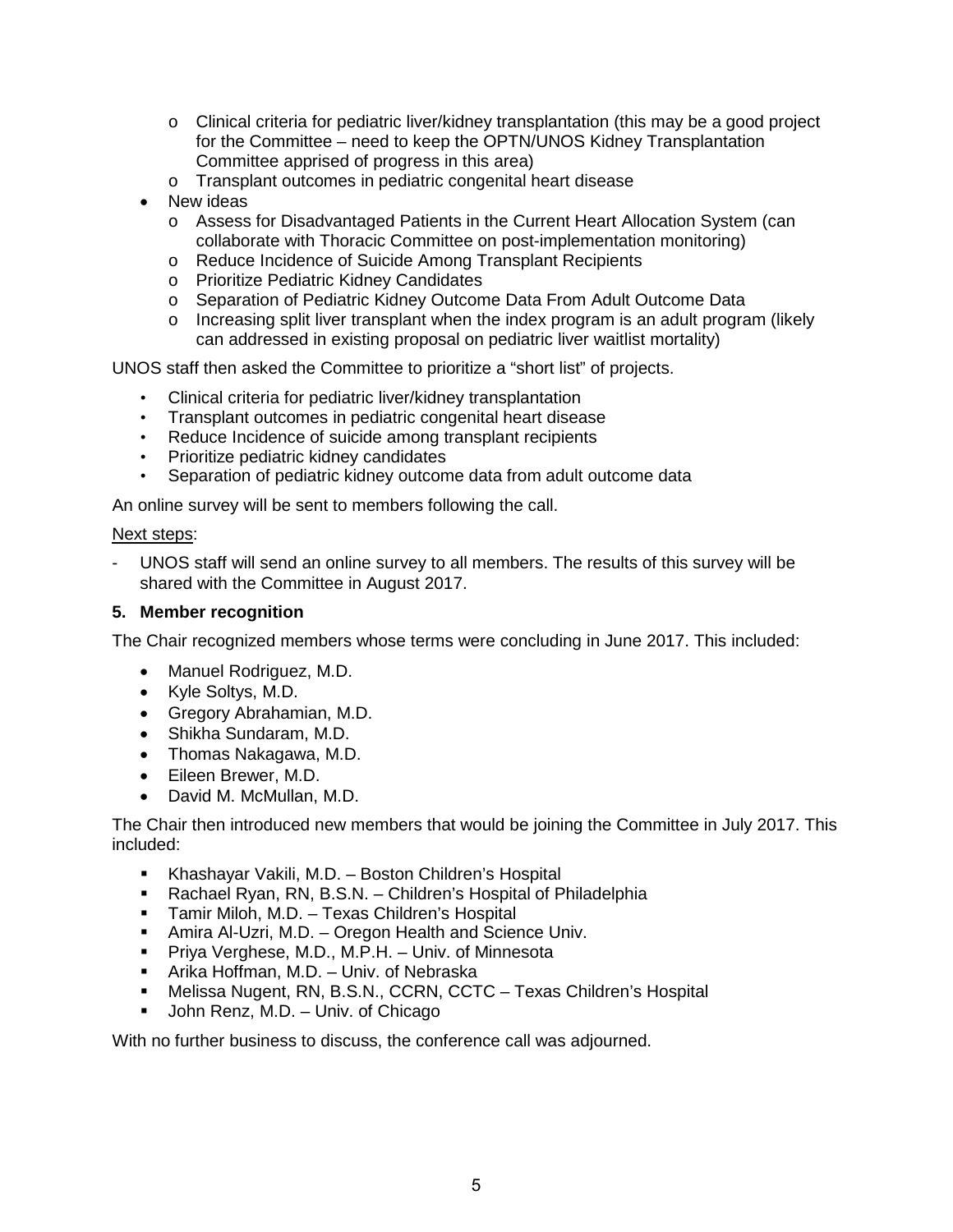- $\circ$  Clinical criteria for pediatric liver/kidney transplantation (this may be a good project for the Committee – need to keep the OPTN/UNOS Kidney Transplantation Committee apprised of progress in this area)
- o Transplant outcomes in pediatric congenital heart disease
- New ideas
	- o Assess for Disadvantaged Patients in the Current Heart Allocation System (can collaborate with Thoracic Committee on post-implementation monitoring)
	- o Reduce Incidence of Suicide Among Transplant Recipients
	- o Prioritize Pediatric Kidney Candidates
	- o Separation of Pediatric Kidney Outcome Data From Adult Outcome Data
	- o Increasing split liver transplant when the index program is an adult program (likely can addressed in existing proposal on pediatric liver waitlist mortality)

UNOS staff then asked the Committee to prioritize a "short list" of projects.

- Clinical criteria for pediatric liver/kidney transplantation
- Transplant outcomes in pediatric congenital heart disease
- Reduce Incidence of suicide among transplant recipients
- Prioritize pediatric kidney candidates
- Separation of pediatric kidney outcome data from adult outcome data

An online survey will be sent to members following the call.

### Next steps:

UNOS staff will send an online survey to all members. The results of this survey will be shared with the Committee in August 2017.

#### **5. Member recognition**

The Chair recognized members whose terms were concluding in June 2017. This included:

- Manuel Rodriguez, M.D.
- Kyle Soltys, M.D.
- Gregory Abrahamian, M.D.
- Shikha Sundaram, M.D.
- Thomas Nakagawa, M.D.
- Eileen Brewer, M.D.
- David M. McMullan, M.D.

The Chair then introduced new members that would be joining the Committee in July 2017. This included:

- Khashayar Vakili, M.D. Boston Children's Hospital
- Rachael Ryan, RN, B.S.N. Children's Hospital of Philadelphia
- Tamir Miloh, M.D. Texas Children's Hospital
- **Amira Al-Uzri, M.D. Oregon Health and Science Univ.**
- **Priva Verghese, M.D., M.P.H. Univ. of Minnesota**
- Arika Hoffman, M.D. Univ. of Nebraska
- Melissa Nugent, RN, B.S.N., CCRN, CCTC Texas Children's Hospital
- John Renz, M.D. Univ. of Chicago

With no further business to discuss, the conference call was adjourned.